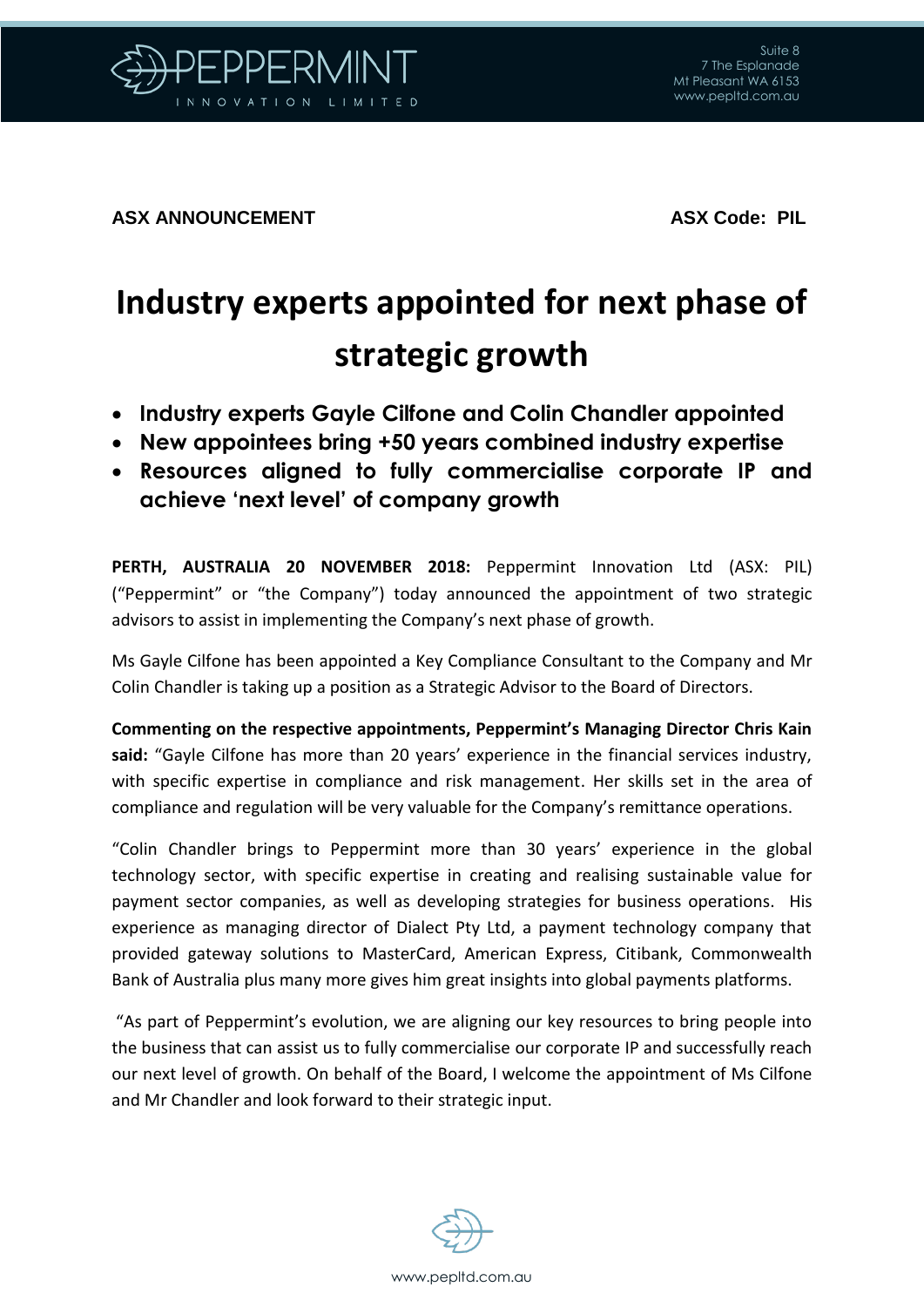

**ASX ANNOUNCEMENT** ASX Code: PIL

## **Industry experts appointed for next phase of strategic growth**

- **Industry experts Gayle Cilfone and Colin Chandler appointed**
- **New appointees bring +50 years combined industry expertise**
- **Resources aligned to fully commercialise corporate IP and achieve 'next level' of company growth**

**PERTH, AUSTRALIA 20 NOVEMBER 2018:** Peppermint Innovation Ltd (ASX: PIL) ("Peppermint" or "the Company") today announced the appointment of two strategic advisors to assist in implementing the Company's next phase of growth.

Ms Gayle Cilfone has been appointed a Key Compliance Consultant to the Company and Mr Colin Chandler is taking up a position as a Strategic Advisor to the Board of Directors.

**Commenting on the respective appointments, Peppermint's Managing Director Chris Kain said:** "Gayle Cilfone has more than 20 years' experience in the financial services industry, with specific expertise in compliance and risk management. Her skills set in the area of compliance and regulation will be very valuable for the Company's remittance operations.

"Colin Chandler brings to Peppermint more than 30 years' experience in the global technology sector, with specific expertise in creating and realising sustainable value for payment sector companies, as well as developing strategies for business operations. His experience as managing director of Dialect Pty Ltd, a payment technology company that provided gateway solutions to MasterCard, American Express, Citibank, Commonwealth Bank of Australia plus many more gives him great insights into global payments platforms.

"As part of Peppermint's evolution, we are aligning our key resources to bring people into the business that can assist us to fully commercialise our corporate IP and successfully reach our next level of growth. On behalf of the Board, I welcome the appointment of Ms Cilfone and Mr Chandler and look forward to their strategic input.

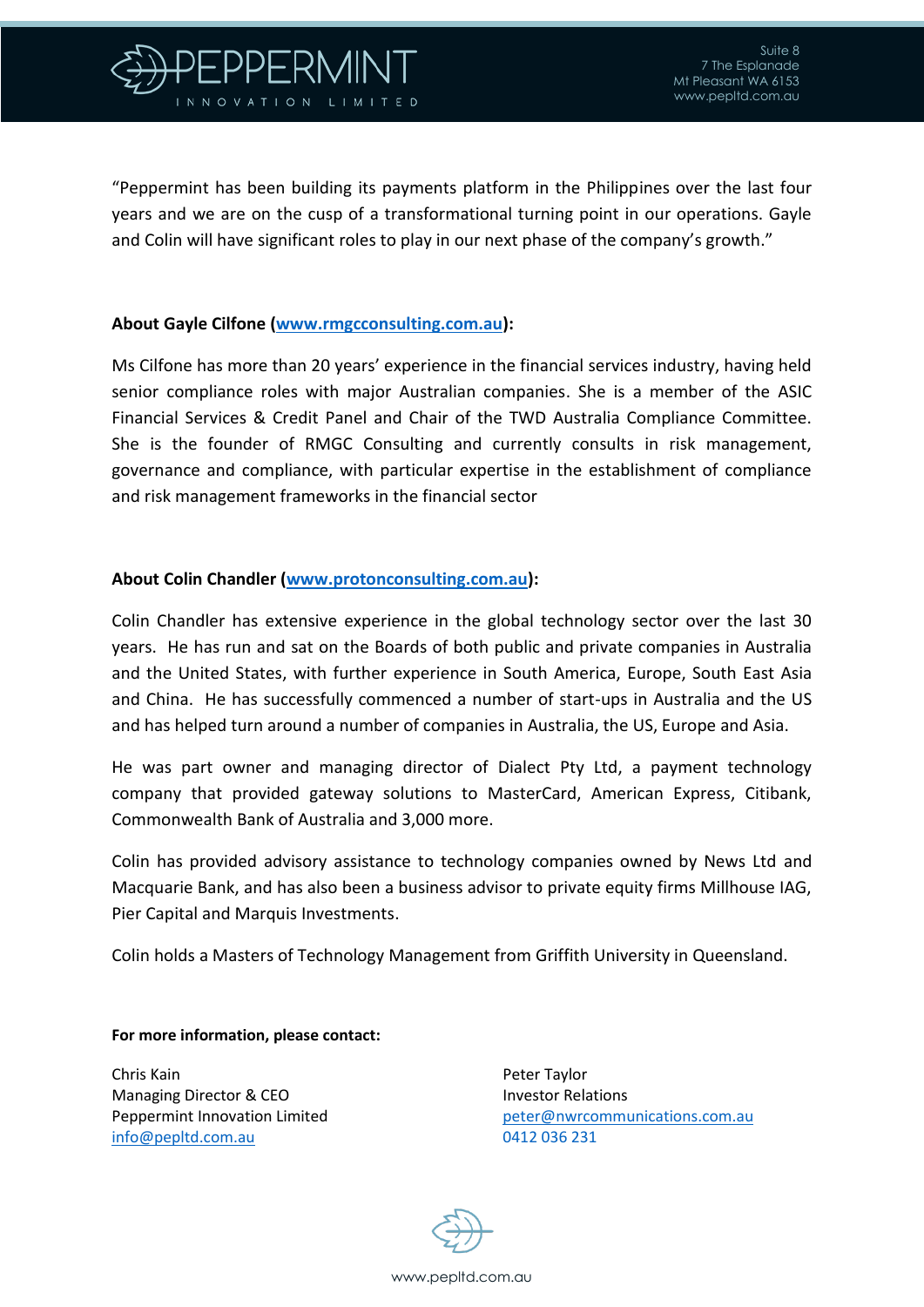

"Peppermint has been building its payments platform in the Philippines over the last four years and we are on the cusp of a transformational turning point in our operations. Gayle and Colin will have significant roles to play in our next phase of the company's growth."

## **About Gayle Cilfone [\(www.rmgcconsulting.com.au\)](http://www.rmgcconsulting.com.au/):**

Ms Cilfone has more than 20 years' experience in the financial services industry, having held senior compliance roles with major Australian companies. She is a member of the ASIC Financial Services & Credit Panel and Chair of the TWD Australia Compliance Committee. She is the founder of RMGC Consulting and currently consults in risk management, governance and compliance, with particular expertise in the establishment of compliance and risk management frameworks in the financial sector

## **About Colin Chandler [\(www.protonconsulting.com.au\)](http://www.protonconsulting.com.au/):**

Colin Chandler has extensive experience in the global technology sector over the last 30 years. He has run and sat on the Boards of both public and private companies in Australia and the United States, with further experience in South America, Europe, South East Asia and China. He has successfully commenced a number of start-ups in Australia and the US and has helped turn around a number of companies in Australia, the US, Europe and Asia.

He was part owner and managing director of Dialect Pty Ltd, a payment technology company that provided gateway solutions to MasterCard, American Express, Citibank, Commonwealth Bank of Australia and 3,000 more.

Colin has provided advisory assistance to technology companies owned by News Ltd and Macquarie Bank, and has also been a business advisor to private equity firms Millhouse IAG, Pier Capital and Marquis Investments.

Colin holds a Masters of Technology Management from Griffith University in Queensland.

**For more information, please contact:**

Chris Kain **Peter Taylor** Peter Taylor Managing Director & CEO **Investor Relations** [info@pepltd.com.au](mailto:info@pepltd.com.au) 0412 036 231

Peppermint Innovation Limited **[peter@nwrcommunications.com.au](mailto:peter@nwrcommunications.com.au)**